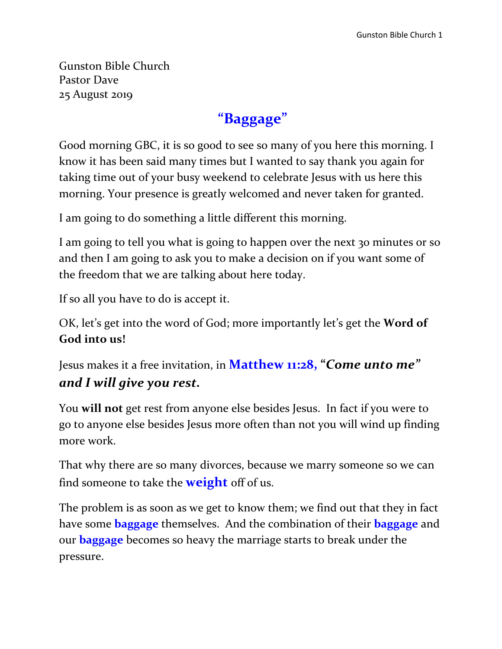Gunston Bible Church Pastor Dave 25 August 2019

### **"Baggage"**

Good morning GBC, it is so good to see so many of you here this morning. I know it has been said many times but I wanted to say thank you again for taking time out of your busy weekend to celebrate Jesus with us here this morning. Your presence is greatly welcomed and never taken for granted.

I am going to do something a little different this morning.

I am going to tell you what is going to happen over the next 30 minutes or so and then I am going to ask you to make a decision on if you want some of the freedom that we are talking about here today.

If so all you have to do is accept it.

OK, let's get into the word of God; more importantly let's get the **Word of God into us!**

Jesus makes it a free invitation, in **Matthew 11:28, "***Come unto me" and I will give you rest.*

You **will not** get rest from anyone else besides Jesus. In fact if you were to go to anyone else besides Jesus more often than not you will wind up finding more work.

That why there are so many divorces, because we marry someone so we can find someone to take the **weight** off of us.

The problem is as soon as we get to know them; we find out that they in fact have some **baggage** themselves. And the combination of their **baggage** and our **baggage** becomes so heavy the marriage starts to break under the pressure.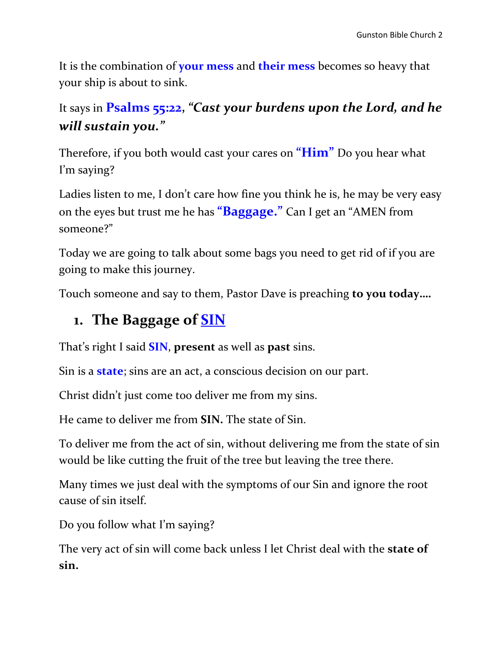It is the combination of **your mess** and **their mess** becomes so heavy that your ship is about to sink.

### It says in **Psalms 55:22,** *"Cast your burdens upon the Lord, and he will sustain you."*

Therefore, if you both would cast your cares on **"Him"** Do you hear what I'm saying?

Ladies listen to me, I don't care how fine you think he is, he may be very easy on the eyes but trust me he has **"Baggage."** Can I get an "AMEN from someone?"

Today we are going to talk about some bags you need to get rid of if you are going to make this journey.

Touch someone and say to them, Pastor Dave is preaching **to you today….**

### **1. The Baggage of SIN**

That's right I said **SIN**, **present** as well as **past** sins.

Sin is a **state**; sins are an act, a conscious decision on our part.

Christ didn't just come too deliver me from my sins.

He came to deliver me from **SIN.** The state of Sin.

To deliver me from the act of sin, without delivering me from the state of sin would be like cutting the fruit of the tree but leaving the tree there.

Many times we just deal with the symptoms of our Sin and ignore the root cause of sin itself.

Do you follow what I'm saying?

The very act of sin will come back unless I let Christ deal with the **state of sin.**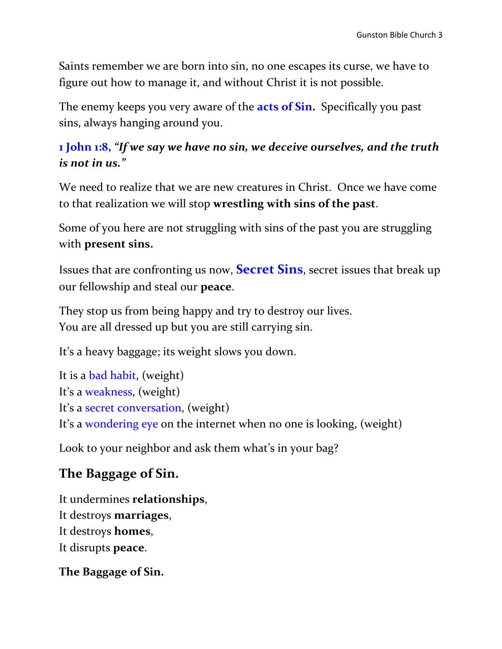Saints remember we are born into sin, no one escapes its curse, we have to figure out how to manage it, and without Christ it is not possible.

The enemy keeps you very aware of the **acts of Sin.** Specifically you past sins, always hanging around you.

#### **1 John 1:8,** *"If we say we have no sin, we deceive ourselves, and the truth is not in us."*

We need to realize that we are new creatures in Christ. Once we have come to that realization we will stop **wrestling with sins of the past**.

Some of you here are not struggling with sins of the past you are struggling with **present sins.**

Issues that are confronting us now, **Secret Sins**, secret issues that break up our fellowship and steal our **peace**.

They stop us from being happy and try to destroy our lives. You are all dressed up but you are still carrying sin.

It's a heavy baggage; its weight slows you down.

It is a bad habit, (weight) It's a weakness, (weight) It's a secret conversation, (weight) It's a wondering eye on the internet when no one is looking, (weight)

Look to your neighbor and ask them what's in your bag?

### **The Baggage of Sin.**

It undermines **relationships**, It destroys **marriages**, It destroys **homes**, It disrupts **peace**.

**The Baggage of Sin.**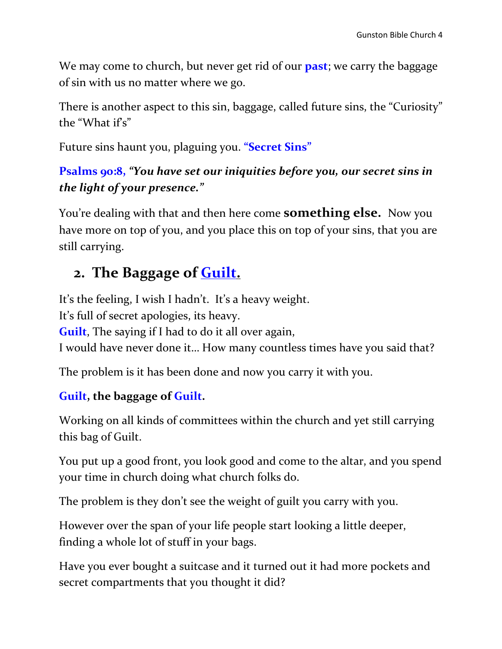We may come to church, but never get rid of our **past**; we carry the baggage of sin with us no matter where we go.

There is another aspect to this sin, baggage, called future sins, the "Curiosity" the "What  $if's"$ 

Future sins haunt you, plaguing you. **"Secret Sins"**

#### **Psalms 90:8,** *"You have set our iniquities before you, our secret sins in the light of your presence."*

You're dealing with that and then here come **something else.** Now you have more on top of you, and you place this on top of your sins, that you are still carrying.

### **2. The Baggage of Guilt.**

It's the feeling, I wish I hadn't. It's a heavy weight. It's full of secret apologies, its heavy. **Guilt**, The saying if I had to do it all over again, I would have never done it… How many countless times have you said that?

The problem is it has been done and now you carry it with you.

#### **Guilt, the baggage of Guilt.**

Working on all kinds of committees within the church and yet still carrying this bag of Guilt.

You put up a good front, you look good and come to the altar, and you spend your time in church doing what church folks do.

The problem is they don't see the weight of guilt you carry with you.

However over the span of your life people start looking a little deeper, finding a whole lot of stuff in your bags.

Have you ever bought a suitcase and it turned out it had more pockets and secret compartments that you thought it did?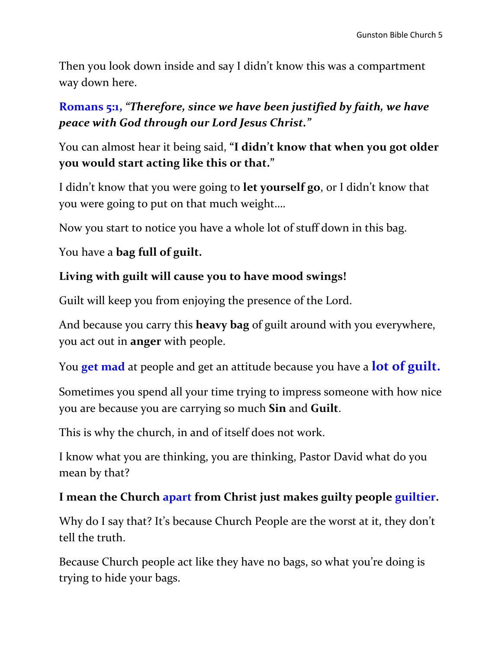Then you look down inside and say I didn't know this was a compartment way down here.

#### **Romans 5:1,** *"Therefore, since we have been justified by faith, we have peace with God through our Lord Jesus Christ."*

You can almost hear it being said, **"I didn't know that when you got older you would start acting like this or that."**

I didn't know that you were going to **let yourself go**, or I didn't know that you were going to put on that much weight….

Now you start to notice you have a whole lot of stuff down in this bag.

#### You have a **bag full of guilt.**

#### **Living with guilt will cause you to have mood swings!**

Guilt will keep you from enjoying the presence of the Lord.

And because you carry this **heavy bag** of guilt around with you everywhere, you act out in **anger** with people.

You **get mad** at people and get an attitude because you have a **lot of guilt.**

Sometimes you spend all your time trying to impress someone with how nice you are because you are carrying so much **Sin** and **Guilt**.

This is why the church, in and of itself does not work.

I know what you are thinking, you are thinking, Pastor David what do you mean by that?

#### **I mean the Church apart from Christ just makes guilty people guiltier.**

Why do I say that? It's because Church People are the worst at it, they don't tell the truth.

Because Church people act like they have no bags, so what you're doing is trying to hide your bags.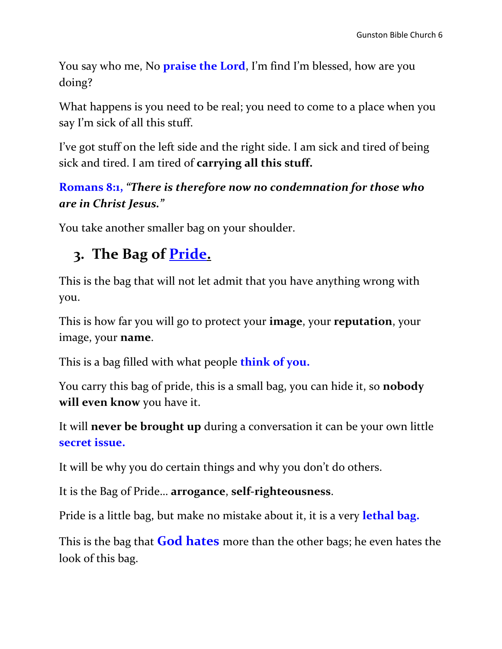You say who me, No **praise the Lord**, I'm find I'm blessed, how are you doing?

What happens is you need to be real; you need to come to a place when you say I'm sick of all this stuff.

I've got stuff on the left side and the right side. I am sick and tired of being sick and tired. I am tired of **carrying all this stuff.**

#### **Romans 8:1,** *"There is therefore now no condemnation for those who are in Christ Jesus."*

You take another smaller bag on your shoulder.

### **3. The Bag of Pride.**

This is the bag that will not let admit that you have anything wrong with you.

This is how far you will go to protect your **image**, your **reputation**, your image, your **name**.

This is a bag filled with what people **think of you.**

You carry this bag of pride, this is a small bag, you can hide it, so **nobody will even know** you have it.

It will **never be brought up** during a conversation it can be your own little **secret issue.** 

It will be why you do certain things and why you don't do others.

It is the Bag of Pride… **arrogance**, **self-righteousness**.

Pride is a little bag, but make no mistake about it, it is a very **lethal bag.** 

This is the bag that **God hates** more than the other bags; he even hates the look of this bag.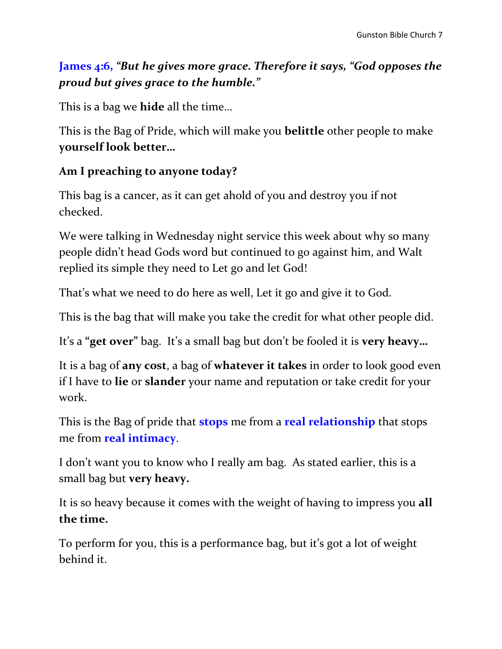#### **James 4:6,** *"But he gives more grace. Therefore it says, "God opposes the proud but gives grace to the humble."*

This is a bag we **hide** all the time…

This is the Bag of Pride, which will make you **belittle** other people to make **yourself look better…**

#### **Am I preaching to anyone today?**

This bag is a cancer, as it can get ahold of you and destroy you if not checked.

We were talking in Wednesday night service this week about why so many people didn't head Gods word but continued to go against him, and Walt replied its simple they need to Let go and let God!

That's what we need to do here as well, Let it go and give it to God.

This is the bag that will make you take the credit for what other people did.

It's a **"get over"** bag. It's a small bag but don't be fooled it is **very heavy…**

It is a bag of **any cost**, a bag of **whatever it takes** in order to look good even if I have to **lie** or **slander** your name and reputation or take credit for your work.

This is the Bag of pride that **stops** me from a **real relationship** that stops me from **real intimacy**.

I don't want you to know who I really am bag. As stated earlier, this is a small bag but **very heavy.**

It is so heavy because it comes with the weight of having to impress you **all the time.**

To perform for you, this is a performance bag, but it's got a lot of weight behind it.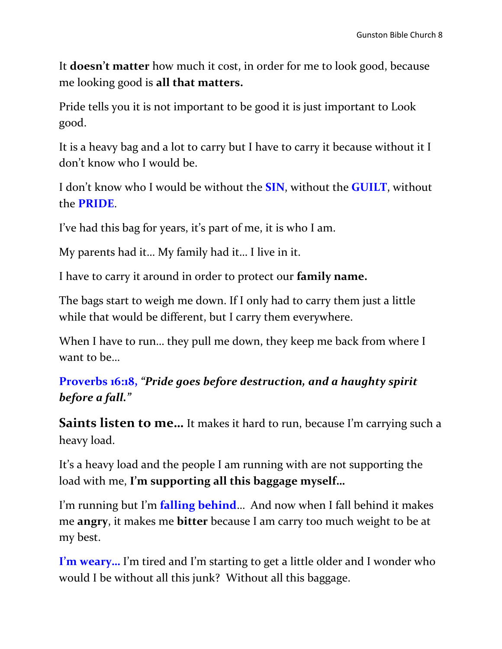It **doesn't matter** how much it cost, in order for me to look good, because me looking good is **all that matters.**

Pride tells you it is not important to be good it is just important to Look good.

It is a heavy bag and a lot to carry but I have to carry it because without it I don't know who I would be.

I don't know who I would be without the **SIN**, without the **GUILT**, without the **PRIDE**.

I've had this bag for years, it's part of me, it is who I am.

My parents had it… My family had it… I live in it.

I have to carry it around in order to protect our **family name.** 

The bags start to weigh me down. If I only had to carry them just a little while that would be different, but I carry them everywhere.

When I have to run... they pull me down, they keep me back from where I want to be…

#### **Proverbs 16:18,** *"Pride goes before destruction, and a haughty spirit before a fall."*

**Saints listen to me...** It makes it hard to run, because I'm carrying such a heavy load.

It's a heavy load and the people I am running with are not supporting the load with me, **I'm supporting all this baggage myself…**

I'm running but I'm **falling behind**… And now when I fall behind it makes me **angry**, it makes me **bitter** because I am carry too much weight to be at my best.

**I'm weary…** I'm tired and I'm starting to get a little older and I wonder who would I be without all this junk? Without all this baggage.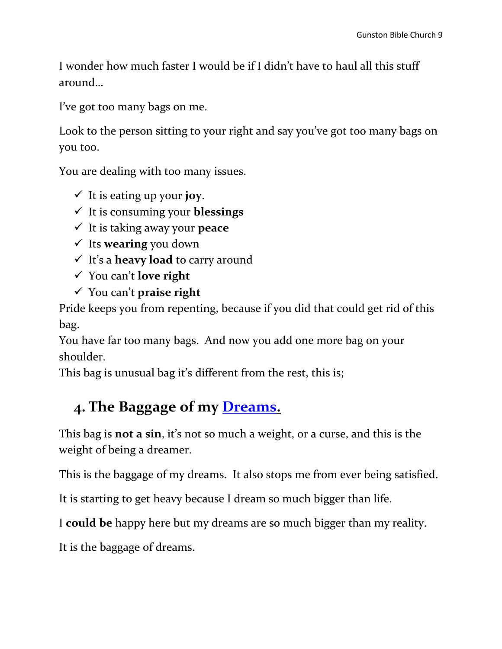I wonder how much faster I would be if I didn't have to haul all this stuff around…

I've got too many bags on me.

Look to the person sitting to your right and say you've got too many bags on you too.

You are dealing with too many issues.

- $\checkmark$  It is eating up your **joy**.
- It is consuming your **blessings**
- It is taking away your **peace**
- Its **wearing** you down
- It's a **heavy load** to carry around
- You can't **love right**
- You can't **praise right**

Pride keeps you from repenting, because if you did that could get rid of this bag.

You have far too many bags. And now you add one more bag on your shoulder.

This bag is unusual bag it's different from the rest, this is;

# **4. The Baggage of my Dreams.**

This bag is **not a sin**, it's not so much a weight, or a curse, and this is the weight of being a dreamer.

This is the baggage of my dreams. It also stops me from ever being satisfied.

It is starting to get heavy because I dream so much bigger than life.

I **could be** happy here but my dreams are so much bigger than my reality.

It is the baggage of dreams.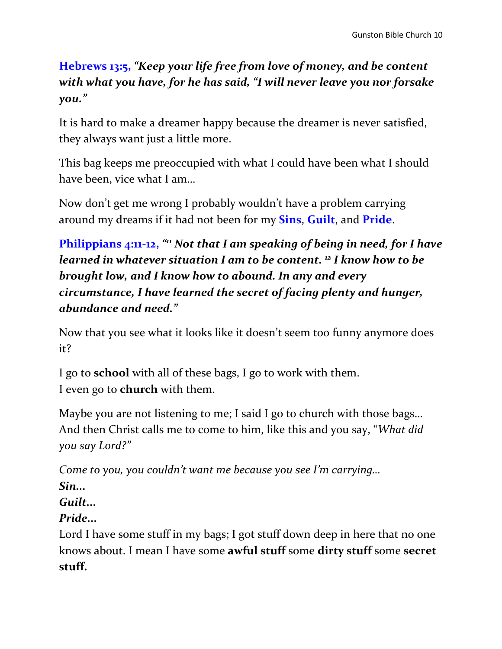#### **Hebrews 13:5,** *"Keep your life free from love of money, and be content with what you have, for he has said, "I will never leave you nor forsake you."*

It is hard to make a dreamer happy because the dreamer is never satisfied, they always want just a little more.

This bag keeps me preoccupied with what I could have been what I should have been, vice what I am…

Now don't get me wrong I probably wouldn't have a problem carrying around my dreams if it had not been for my **Sins**, **Guilt**, and **Pride**.

**Philippians 4:11-12,** *" <sup>11</sup> Not that I am speaking of being in need, for I have learned in whatever situation I am to be content. <sup>12</sup> I know how to be brought low, and I know how to abound. In any and every circumstance, I have learned the secret of facing plenty and hunger, abundance and need."*

Now that you see what it looks like it doesn't seem too funny anymore does it?

I go to **school** with all of these bags, I go to work with them. I even go to **church** with them.

Maybe you are not listening to me; I said I go to church with those bags… And then Christ calls me to come to him, like this and you say, "*What did you say Lord?"* 

*Come to you, you couldn't want me because you see I'm carrying…* 

#### *Sin...*

#### *Guilt...*

#### *Pride...*

Lord I have some stuff in my bags; I got stuff down deep in here that no one knows about. I mean I have some **awful stuff** some **dirty stuff** some **secret stuff.**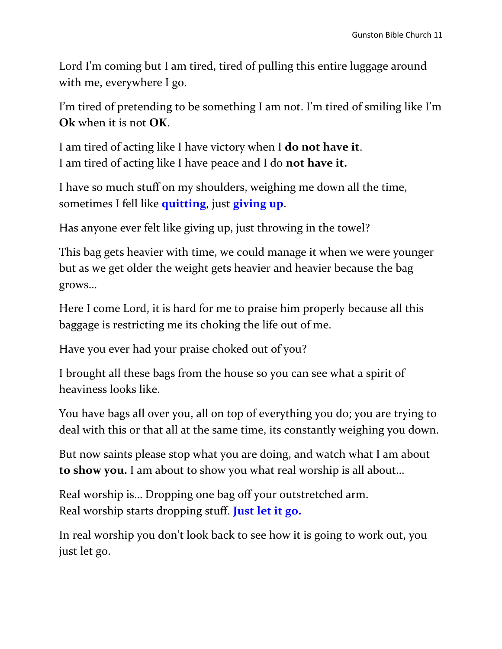Lord I'm coming but I am tired, tired of pulling this entire luggage around with me, everywhere I go.

I'm tired of pretending to be something I am not. I'm tired of smiling like I'm **Ok** when it is not **OK**.

I am tired of acting like I have victory when I **do not have it**. I am tired of acting like I have peace and I do **not have it.**

I have so much stuff on my shoulders, weighing me down all the time, sometimes I fell like **quitting**, just **giving up**.

Has anyone ever felt like giving up, just throwing in the towel?

This bag gets heavier with time, we could manage it when we were younger but as we get older the weight gets heavier and heavier because the bag grows…

Here I come Lord, it is hard for me to praise him properly because all this baggage is restricting me its choking the life out of me.

Have you ever had your praise choked out of you?

I brought all these bags from the house so you can see what a spirit of heaviness looks like.

You have bags all over you, all on top of everything you do; you are trying to deal with this or that all at the same time, its constantly weighing you down.

But now saints please stop what you are doing, and watch what I am about **to show you.** I am about to show you what real worship is all about…

Real worship is… Dropping one bag off your outstretched arm. Real worship starts dropping stuff. **Just let it go.**

In real worship you don't look back to see how it is going to work out, you just let go.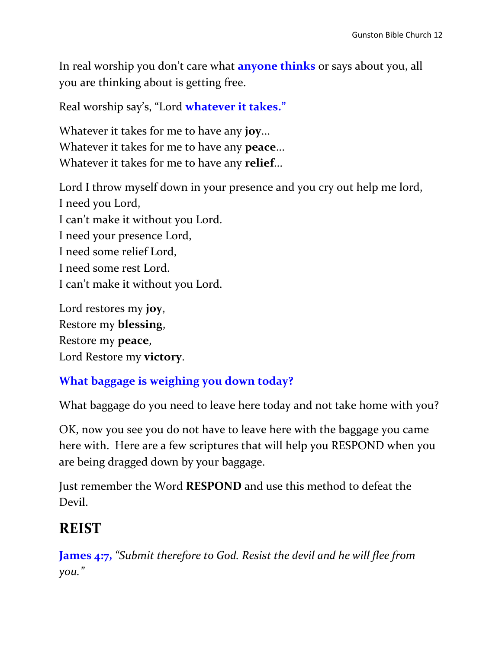In real worship you don't care what **anyone thinks** or says about you, all you are thinking about is getting free.

Real worship say's, "Lord **whatever it takes."**

Whatever it takes for me to have any **joy**... Whatever it takes for me to have any **peace**... Whatever it takes for me to have any **relief**...

Lord I throw myself down in your presence and you cry out help me lord, I need you Lord, I can't make it without you Lord. I need your presence Lord, I need some relief Lord, I need some rest Lord. I can't make it without you Lord.

Lord restores my **joy**, Restore my **blessing**, Restore my **peace**, Lord Restore my **victory**.

#### **What baggage is weighing you down today?**

What baggage do you need to leave here today and not take home with you?

OK, now you see you do not have to leave here with the baggage you came here with. Here are a few scriptures that will help you RESPOND when you are being dragged down by your baggage.

Just remember the Word **RESPOND** and use this method to defeat the Devil.

### **REIST**

**James 4:7,** *"Submit therefore to God. Resist the devil and he will flee from you."*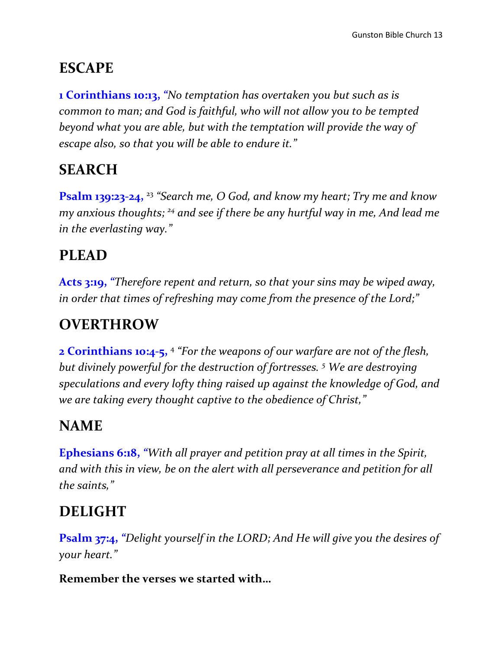## **ESCAPE**

**1 Corinthians 10:13,** *"No temptation has overtaken you but such as is common to man; and God is faithful, who will not allow you to be tempted beyond what you are able, but with the temptation will provide the way of escape also, so that you will be able to endure it."*

# **SEARCH**

**Psalm 139:23-24,**  <sup>23</sup> *"Search me, O God, and know my heart; Try me and know my anxious thoughts; <sup>24</sup> and see if there be any hurtful way in me, And lead me in the everlasting way."* 

# **PLEAD**

**Acts 3:19,** *"Therefore repent and return, so that your sins may be wiped away, in order that times of refreshing may come from the presence of the Lord;"*

# **OVERTHROW**

**2 Corinthians 10:4-5,**  4 *"For the weapons of our warfare are not of the flesh, but divinely powerful for the destruction of fortresses. <sup>5</sup> We are destroying speculations and every lofty thing raised up against the knowledge of God, and we are taking every thought captive to the obedience of Christ,"*

### **NAME**

**Ephesians 6:18,** *"With all prayer and petition pray at all times in the Spirit, and with this in view, be on the alert with all perseverance and petition for all the saints,"*

# **DELIGHT**

**Psalm 37:4,** *"Delight yourself in the LORD; And He will give you the desires of your heart."*

**Remember the verses we started with…**